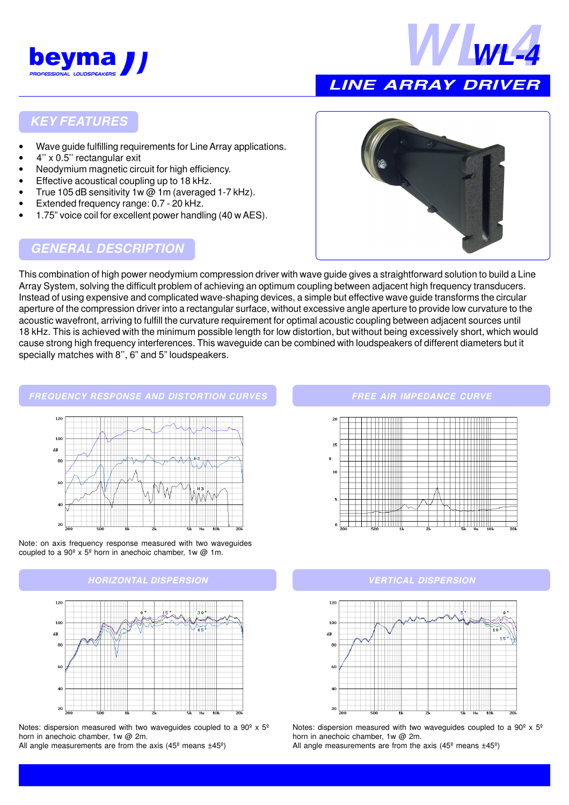



### **LINE ARRAY DRIVER**

#### **KEY FEATURES**

- Wave guide fulfilling requirements for Line Array applications.
- 4'' x 0.5'' rectangular exit
- Neodymium magnetic circuit for high efficiency.
- Effective acoustical coupling up to 18 kHz.
- True 105 dB sensitivity 1w @ 1m (averaged 1-7 kHz).
- Extended frequency range: 0.7 20 kHz.
- 1.75" voice coil for excellent power handling (40 w AES).

#### **GENERAL DESCRIPTION**



This combination of high power neodymium compression driver with wave guide gives a straightforward solution to build a Line Array System, solving the difficult problem of achieving an optimum coupling between adjacent high frequency transducers. Instead of using expensive and complicated wave-shaping devices, a simple but effective wave guide transforms the circular aperture of the compression driver into a rectangular surface, without excessive angle aperture to provide low curvature to the acoustic wavefront, arriving to fulfill the curvature requirement for optimal acoustic coupling between adjacent sources until 18 kHz. This is achieved with the minimum possible length for low distortion, but without being excessively short, which would cause strong high frequency interferences. This waveguide can be combined with loudspeakers of different diameters but it specially matches with 8'', 6" and 5" loudspeakers.

#### **FREQUENCY RESPONSE AND DISTORTION CURVES**







Notes: dispersion measured with two waveguides coupled to a  $90^{\circ}$  x  $5^{\circ}$ horn in anechoic chamber, 1w @ 2m.

All angle measurements are from the axis (45 $^{\circ}$  means  $\pm$ 45 $^{\circ}$ )

#### **FREE AIR IMPEDANCE CURVE**



#### **HORIZONTAL DISPERSION VERTICAL DISPERSION**



Notes: dispersion measured with two waveguides coupled to a  $90^{\circ}$  x  $5^{\circ}$ horn in anechoic chamber, 1w @ 2m.

All angle measurements are from the axis (45 $^{\circ}$  means  $\pm$ 45 $^{\circ}$ )